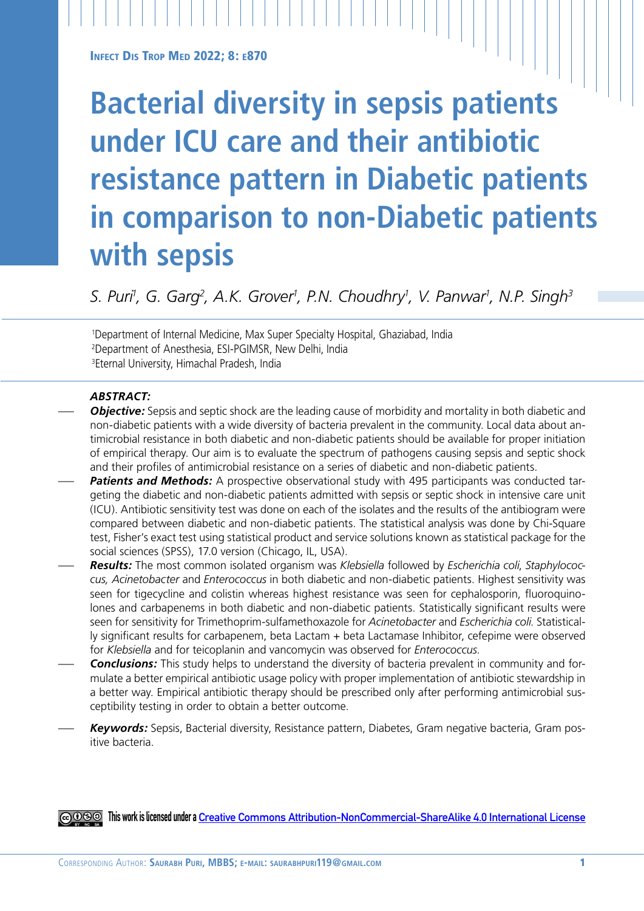**INFECT DIS TROP MED 2022; 8: E870** 

# **Bacterial diversity in sepsis patients under ICU care and their antibiotic resistance pattern in Diabetic patients in comparison to non-Diabetic patients with sepsis**

*S. Puri1 , G. Garg2 , A.K. Grover1 , P.N. Choudhry1 , V. Panwar1 , N.P. Singh3*

1 Department of Internal Medicine, Max Super Specialty Hospital, Ghaziabad, India 2 Department of Anesthesia, ESI-PGIMSR, New Delhi, India 3Eternal University, Himachal Pradesh, India

## *ABSTRACT:*

- *Objective:* Sepsis and septic shock are the leading cause of morbidity and mortality in both diabetic and non-diabetic patients with a wide diversity of bacteria prevalent in the community. Local data about antimicrobial resistance in both diabetic and non-diabetic patients should be available for proper initiation of empirical therapy. Our aim is to evaluate the spectrum of pathogens causing sepsis and septic shock and their profiles of antimicrobial resistance on a series of diabetic and non-diabetic patients.
- Patients and Methods: A prospective observational study with 495 participants was conducted targeting the diabetic and non-diabetic patients admitted with sepsis or septic shock in intensive care unit (ICU). Antibiotic sensitivity test was done on each of the isolates and the results of the antibiogram were compared between diabetic and non-diabetic patients. The statistical analysis was done by Chi-Square test, Fisher's exact test using statistical product and service solutions known as statistical package for the social sciences (SPSS), 17.0 version (Chicago, IL, USA).
- *Results:* The most common isolated organism was *Klebsiella* followed by *Escherichia coli*, *Staphylococcus, Acinetobacter* and *Enterococcus* in both diabetic and non-diabetic patients. Highest sensitivity was seen for tigecycline and colistin whereas highest resistance was seen for cephalosporin, fluoroquinolones and carbapenems in both diabetic and non-diabetic patients. Statistically significant results were seen for sensitivity for Trimethoprim-sulfamethoxazole for *Acinetobacter* and *Escherichia coli*. Statistically significant results for carbapenem, beta Lactam + beta Lactamase Inhibitor, cefepime were observed for *Klebsiella* and for teicoplanin and vancomycin was observed for *Enterococcus*.
- **Conclusions:** This study helps to understand the diversity of bacteria prevalent in community and formulate a better empirical antibiotic usage policy with proper implementation of antibiotic stewardship in a better way. Empirical antibiotic therapy should be prescribed only after performing antimicrobial susceptibility testing in order to obtain a better outcome.
- *Keywords:* Sepsis, Bacterial diversity, Resistance pattern, Diabetes, Gram negative bacteria, Gram positive bacteria.

**This work is licensed under a [Creative Commons Attribution-NonCommercial-ShareAlike 4.0 International License](https://creativecommons.org/licenses/by-nc-sa/4.0/)**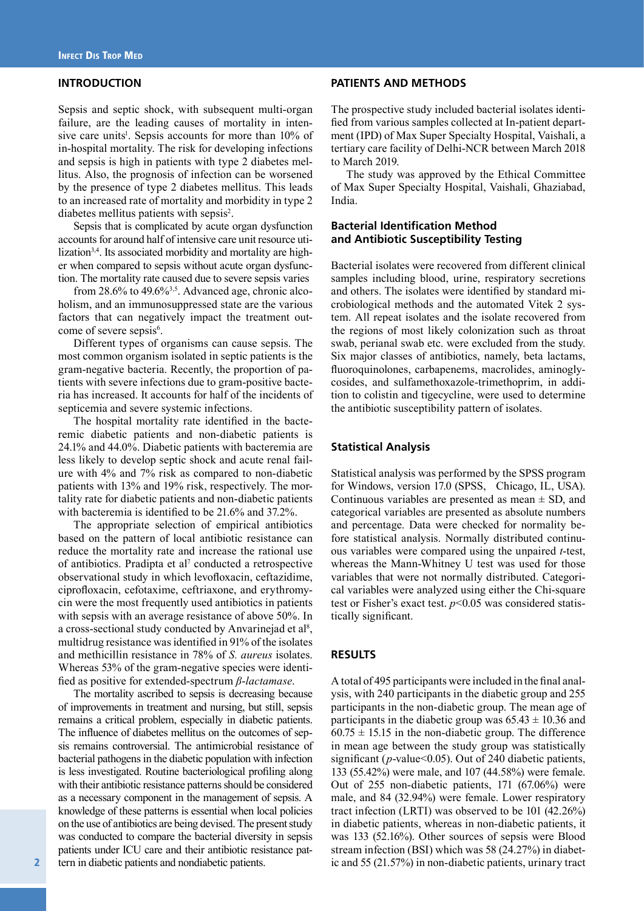## **INTRODUCTION**

Sepsis and septic shock, with subsequent multi-organ failure, are the leading causes of mortality in intensive care units<sup>1</sup>. Sepsis accounts for more than 10% of in-hospital mortality. The risk for developing infections and sepsis is high in patients with type 2 diabetes mellitus. Also, the prognosis of infection can be worsened by the presence of type 2 diabetes mellitus. This leads to an increased rate of mortality and morbidity in type 2 diabetes mellitus patients with sepsis<sup>2</sup>.

Sepsis that is complicated by acute organ dysfunction accounts for around half of intensive care unit resource utilization<sup>3,4</sup>. Its associated morbidity and mortality are higher when compared to sepsis without acute organ dysfunction. The mortality rate caused due to severe sepsis varies

from  $28.6\%$  to  $49.6\%$ <sup>3,5</sup>. Advanced age, chronic alcoholism, and an immunosuppressed state are the various factors that can negatively impact the treatment outcome of severe sepsis<sup>6</sup>.

Different types of organisms can cause sepsis. The most common organism isolated in septic patients is the gram-negative bacteria. Recently, the proportion of patients with severe infections due to gram-positive bacteria has increased. It accounts for half of the incidents of septicemia and severe systemic infections.

The hospital mortality rate identified in the bacteremic diabetic patients and non-diabetic patients is 24.1% and 44.0%. Diabetic patients with bacteremia are less likely to develop septic shock and acute renal failure with 4% and 7% risk as compared to non-diabetic patients with 13% and 19% risk, respectively. The mortality rate for diabetic patients and non-diabetic patients with bacteremia is identified to be 21.6% and 37.2%.

The appropriate selection of empirical antibiotics based on the pattern of local antibiotic resistance can reduce the mortality rate and increase the rational use of antibiotics. Pradipta et al<sup>7</sup> conducted a retrospective observational study in which levofloxacin, ceftazidime, ciprofloxacin, cefotaxime, ceftriaxone, and erythromycin were the most frequently used antibiotics in patients with sepsis with an average resistance of above 50%. In a cross-sectional study conducted by Anvarinejad et al<sup>8</sup>, multidrug resistance was identified in 91% of the isolates and methicillin resistance in 78% of *S. aureus* isolates. Whereas 53% of the gram-negative species were identified as positive for extended-spectrum *β*-*lactamase*.

The mortality ascribed to sepsis is decreasing because of improvements in treatment and nursing, but still, sepsis remains a critical problem, especially in diabetic patients. The influence of diabetes mellitus on the outcomes of sepsis remains controversial. The antimicrobial resistance of bacterial pathogens in the diabetic population with infection is less investigated. Routine bacteriological profiling along with their antibiotic resistance patterns should be considered as a necessary component in the management of sepsis. A knowledge of these patterns is essential when local policies on the use of antibiotics are being devised. The present study was conducted to compare the bacterial diversity in sepsis patients under ICU care and their antibiotic resistance pattern in diabetic patients and nondiabetic patients.

#### **PATIENTS AND METHODS**

The prospective study included bacterial isolates identified from various samples collected at In-patient department (IPD) of Max Super Specialty Hospital, Vaishali, a tertiary care facility of Delhi-NCR between March 2018 to March 2019.

The study was approved by the Ethical Committee of Max Super Specialty Hospital, Vaishali, Ghaziabad, India.

### **Bacterial Identification Method and Antibiotic Susceptibility Testing**

Bacterial isolates were recovered from different clinical samples including blood, urine, respiratory secretions and others. The isolates were identified by standard microbiological methods and the automated Vitek 2 system. All repeat isolates and the isolate recovered from the regions of most likely colonization such as throat swab, perianal swab etc. were excluded from the study. Six major classes of antibiotics, namely, beta lactams, fluoroquinolones, carbapenems, macrolides, aminoglycosides, and sulfamethoxazole-trimethoprim, in addition to colistin and tigecycline, were used to determine the antibiotic susceptibility pattern of isolates.

#### **Statistical Analysis**

Statistical analysis was performed by the SPSS program for Windows, version 17.0 (SPSS, Chicago, IL, USA). Continuous variables are presented as mean  $\pm$  SD, and categorical variables are presented as absolute numbers and percentage. Data were checked for normality before statistical analysis. Normally distributed continuous variables were compared using the unpaired *t*-test, whereas the Mann-Whitney U test was used for those variables that were not normally distributed. Categorical variables were analyzed using either the Chi-square test or Fisher's exact test. *p*<0.05 was considered statistically significant.

#### **RESULTS**

A total of 495 participants were included in the final analysis, with 240 participants in the diabetic group and 255 participants in the non-diabetic group. The mean age of participants in the diabetic group was  $65.43 \pm 10.36$  and  $60.75 \pm 15.15$  in the non-diabetic group. The difference in mean age between the study group was statistically significant (*p*-value<0.05). Out of 240 diabetic patients, 133 (55.42%) were male, and 107 (44.58%) were female. Out of 255 non-diabetic patients, 171 (67.06%) were male, and 84 (32.94%) were female. Lower respiratory tract infection (LRTI) was observed to be 101 (42.26%) in diabetic patients, whereas in non-diabetic patients, it was 133 (52.16%). Other sources of sepsis were Blood stream infection (BSI) which was 58 (24.27%) in diabetic and 55 (21.57%) in non-diabetic patients, urinary tract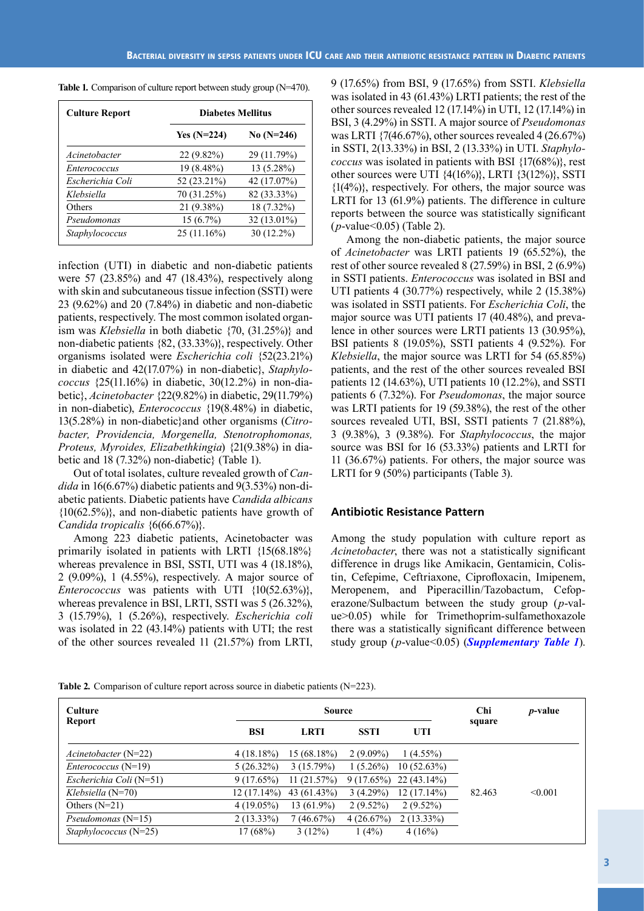| <b>Culture Report</b> | <b>Diabetes Mellitus</b> |              |  |
|-----------------------|--------------------------|--------------|--|
|                       | Yes $(N=224)$            | No $(N=246)$ |  |
| Acinetobacter         | $22(9.82\%)$             | 29 (11.79%)  |  |
| <i>Enterococcus</i>   | 19 (8.48%)               | 13 (5.28%)   |  |
| Escherichia Coli      | 52 (23.21%)              | 42 (17.07%)  |  |
| Klebsiella            | 70 (31.25%)              | 82 (33.33%)  |  |
| Others                | 21 (9.38%)               | 18 (7.32%)   |  |
| Pseudomonas           | $15(6.7\%)$              | 32 (13.01%)  |  |
| Staphylococcus        | 25(11.16%)               | 30 (12.2%)   |  |

**Table 1***.* Comparison of culture report between study group (N=470).

infection (UTI) in diabetic and non-diabetic patients were 57 (23.85%) and 47 (18.43%), respectively along with skin and subcutaneous tissue infection (SSTI) were 23 (9.62%) and 20 (7.84%) in diabetic and non-diabetic patients, respectively. The most common isolated organism was *Klebsiella* in both diabetic {70, (31.25%)} and non-diabetic patients {82, (33.33%)}, respectively. Other organisms isolated were *Escherichia coli* {52(23.21%) in diabetic and 42(17.07%) in non-diabetic}, *Staphylococcus* {25(11.16%) in diabetic, 30(12.2%) in non-diabetic}, *Acinetobacter* {22(9.82%) in diabetic, 29(11.79%) in non-diabetic), *Enterococcus* {19(8.48%) in diabetic, 13(5.28%) in non-diabetic}and other organisms (*Citrobacter, Providencia, Morgenella, Stenotrophomonas, Proteus, Myroides, Elizabethkingia*) {21(9.38%) in diabetic and 18 (7.32%) non-diabetic} (Table 1).

Out of total isolates, culture revealed growth of *Candida* in 16(6.67%) diabetic patients and 9(3.53%) non-diabetic patients. Diabetic patients have *Candida albicans*  ${10(62.5\%)}$ , and non-diabetic patients have growth of *Candida tropicalis* {6(66.67%)}.

Among 223 diabetic patients, Acinetobacter was primarily isolated in patients with LRTI {15(68.18%} whereas prevalence in BSI, SSTI, UTI was 4 (18.18%), 2 (9.09%), 1 (4.55%), respectively. A major source of *Enterococcus* was patients with UTI  $\{10(52.63\%)\},\$ whereas prevalence in BSI, LRTI, SSTI was 5 (26.32%), 3 (15.79%), 1 (5.26%), respectively. *Escherichia coli* was isolated in 22 (43.14%) patients with UTI; the rest of the other sources revealed 11 (21.57%) from LRTI,

9 (17.65%) from BSI, 9 (17.65%) from SSTI. *Klebsiella* was isolated in 43 (61.43%) LRTI patients; the rest of the other sources revealed 12 (17.14%) in UTI, 12 (17.14%) in BSI, 3 (4.29%) in SSTI. A major source of *Pseudomonas* was LRTI  $\{7(46.67\%)$ , other sources revealed  $4(26.67\%)$ in SSTI, 2(13.33%) in BSI, 2 (13.33%) in UTI. *Staphylococcus* was isolated in patients with BSI {17(68%)}, rest other sources were UTI {4(16%)}, LRTI {3(12%)}, SSTI  $\{(1(4\%)\}$ , respectively. For others, the major source was LRTI for 13 (61.9%) patients. The difference in culture reports between the source was statistically significant (*p*-value<0.05) (Table 2).

Among the non-diabetic patients, the major source of *Acinetobacter* was LRTI patients 19 (65.52%), the rest of other source revealed 8 (27.59%) in BSI, 2 (6.9%) in SSTI patients. *Enterococcus* was isolated in BSI and UTI patients 4 (30.77%) respectively, while 2 (15.38%) was isolated in SSTI patients. For *Escherichia Coli*, the major source was UTI patients 17 (40.48%), and prevalence in other sources were LRTI patients 13 (30.95%), BSI patients 8 (19.05%), SSTI patients 4 (9.52%). For *Klebsiella*, the major source was LRTI for 54 (65.85%) patients, and the rest of the other sources revealed BSI patients 12 (14.63%), UTI patients 10 (12.2%), and SSTI patients 6 (7.32%). For *Pseudomonas*, the major source was LRTI patients for 19 (59.38%), the rest of the other sources revealed UTI, BSI, SSTI patients 7 (21.88%), 3 (9.38%), 3 (9.38%). For *Staphylococcus*, the major source was BSI for 16 (53.33%) patients and LRTI for 11 (36.67%) patients. For others, the major source was LRTI for 9 (50%) participants (Table 3).

### **Antibiotic Resistance Pattern**

Among the study population with culture report as *Acinetobacter*, there was not a statistically significant difference in drugs like Amikacin, Gentamicin, Colistin, Cefepime, Ceftriaxone, Ciprofloxacin, Imipenem, Meropenem, and Piperacillin/Tazobactum, Cefoperazone/Sulbactum between the study group (*p*-value>0.05) while for Trimethoprim-sulfamethoxazole there was a statistically significant difference between study group (*p*-value<0.05) (*[Supplementary Table 1](https://www.infectiousjournal.com/wp-content/uploads/sites/6/2022/05/Supplementary-Table-1-25822.pdf)*).

**Table 2***.* Comparison of culture report across source in diabetic patients (N=223).

| <b>Culture</b><br>Report     | <b>Source</b> |              |             | Chi<br>square            | <i>p</i> -value |         |
|------------------------------|---------------|--------------|-------------|--------------------------|-----------------|---------|
|                              | BSI           | <b>LRTI</b>  | <b>SSTI</b> | UTI                      |                 |         |
| $A$ cinetobacter (N=22)      | $4(18.18\%)$  | 15(68.18%)   | $2(9.09\%)$ | $1(4.55\%)$              |                 |         |
| <i>Enterococcus</i> $(N=19)$ | $5(26.32\%)$  | 3(15.79%)    | $1(5.26\%)$ | 10(52.63%)               |                 |         |
| Escherichia Coli (N=51)      | $9(17.65\%)$  | 11(21.57%)   |             | $9(17.65\%)$ 22 (43.14%) |                 |         |
| Klebsiella $(N=70)$          | $12(17.14\%)$ | 43 (61.43%)  | $3(4.29\%)$ | $12(17.14\%)$            | 82.463          | < 0.001 |
| Others $(N=21)$              | $4(19.05\%)$  | $13(61.9\%)$ | $2(9.52\%)$ | $2(9.52\%)$              |                 |         |
| $Pseudomonas(N=15)$          | $2(13.33\%)$  | 7(46.67%)    | 4(26.67%)   | $2(13.33\%)$             |                 |         |
| $Staphvlococcus (N=25)$      | 17(68%)       | 3(12%)       | 1(4%)       | 4(16%)                   |                 |         |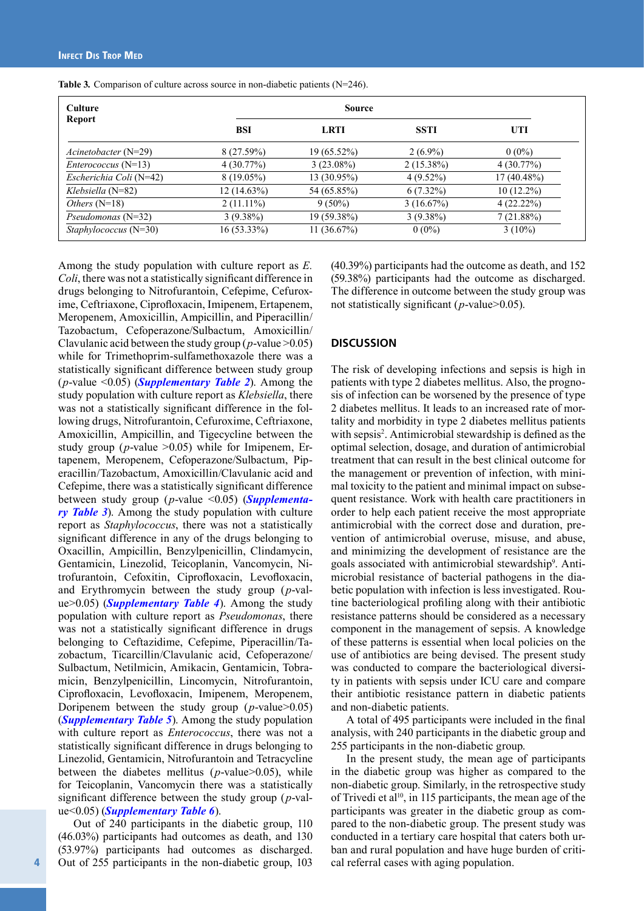| <b>Culture</b>               |              | <b>Source</b> |              |               |
|------------------------------|--------------|---------------|--------------|---------------|
| <b>Report</b>                | <b>BSI</b>   | <b>LRTI</b>   | <b>SSTI</b>  | UTI           |
| $A$ cinetobacter (N=29)      | 8(27.59%)    | $19(65.52\%)$ | $2(6.9\%)$   | $0(0\%)$      |
| <i>Enterococcus</i> $(N=13)$ | 4(30.77%)    | $3(23.08\%)$  | $2(15.38\%)$ | 4(30.77%)     |
| Escherichia Coli (N=42)      | $8(19.05\%)$ | 13 (30.95%)   | $4(9.52\%)$  | $17(40.48\%)$ |
| $Klebsiella (N=82)$          | 12 (14.63%)  | 54 (65.85%)   | $6(7.32\%)$  | $10(12.2\%)$  |
| <i>Others</i> $(N=18)$       | $2(11.11\%)$ | $9(50\%)$     | 3(16.67%)    | 4(22.22%)     |
| $Pseudomonas (N=32)$         | $3(9.38\%)$  | 19 (59.38%)   | $3(9.38\%)$  | 7(21.88%)     |
| $Staphvlococcus (N=30)$      | 16 (53.33%)  | 11(36.67%)    | $0(0\%)$     | $3(10\%)$     |

**Table 3***.* Comparison of culture across source in non-diabetic patients (N=246).

Among the study population with culture report as *E. Coli*, there was not a statistically significant difference in drugs belonging to Nitrofurantoin, Cefepime, Cefuroxime, Ceftriaxone, Ciprofloxacin, Imipenem, Ertapenem, Meropenem, Amoxicillin, Ampicillin, and Piperacillin/ Tazobactum, Cefoperazone/Sulbactum, Amoxicillin/ Clavulanic acid between the study group (*p*-value >0.05) while for Trimethoprim-sulfamethoxazole there was a statistically significant difference between study group (*p*-value <0.05) (*[Supplementary Table 2](https://www.infectiousjournal.com/wp-content/uploads/sites/6/2022/05/Supplementary-Table-2-25822.pdf)*). Among the study population with culture report as *Klebsiella*, there was not a statistically significant difference in the following drugs, Nitrofurantoin, Cefuroxime, Ceftriaxone, Amoxicillin, Ampicillin, and Tigecycline between the study group ( $p$ -value  $>0.05$ ) while for Imipenem, Ertapenem, Meropenem, Cefoperazone/Sulbactum, Piperacillin/Tazobactum, Amoxicillin/Clavulanic acid and Cefepime, there was a statistically significant difference between study group (*p*-value <0.05) (*[Supplementa](https://www.infectiousjournal.com/wp-content/uploads/sites/6/2022/05/Supplementary-Table-3-25822.pdf)[ry Table 3](https://www.infectiousjournal.com/wp-content/uploads/sites/6/2022/05/Supplementary-Table-3-25822.pdf)*). Among the study population with culture report as *Staphylococcus*, there was not a statistically significant difference in any of the drugs belonging to Oxacillin, Ampicillin, Benzylpenicillin, Clindamycin, Gentamicin, Linezolid, Teicoplanin, Vancomycin, Nitrofurantoin, Cefoxitin, Ciprofloxacin, Levofloxacin, and Erythromycin between the study group (*p*-value>0.05) (*[Supplementary Table 4](https://www.infectiousjournal.com/wp-content/uploads/sites/6/2022/05/Supplementary-Table-4-25822.pdf)*). Among the study population with culture report as *Pseudomonas*, there was not a statistically significant difference in drugs belonging to Ceftazidime, Cefepime, Piperacillin/Tazobactum, Ticarcillin/Clavulanic acid, Cefoperazone/ Sulbactum, Netilmicin, Amikacin, Gentamicin, Tobramicin, Benzylpenicillin, Lincomycin, Nitrofurantoin, Ciprofloxacin, Levofloxacin, Imipenem, Meropenem, Doripenem between the study group (*p*-value>0.05) (*[Supplementary Table 5](https://www.infectiousjournal.com/wp-content/uploads/sites/6/2022/05/Supplementary-Table-5-25822.pdf)*). Among the study population with culture report as *Enterococcus*, there was not a statistically significant difference in drugs belonging to Linezolid, Gentamicin, Nitrofurantoin and Tetracycline between the diabetes mellitus (*p*-value>0.05), while for Teicoplanin, Vancomycin there was a statistically significant difference between the study group (*p*-value<0.05) (*[Supplementary Table 6](https://www.infectiousjournal.com/wp-content/uploads/sites/6/2022/05/Supplementary-Table-6-25822.pdf)*).

Out of 240 participants in the diabetic group, 110 (46.03%) participants had outcomes as death, and 130 (53.97%) participants had outcomes as discharged. Out of 255 participants in the non-diabetic group, 103 (40.39%) participants had the outcome as death, and 152 (59.38%) participants had the outcome as discharged. The difference in outcome between the study group was not statistically significant (*p*-value>0.05).

## **DISCUSSION**

The risk of developing infections and sepsis is high in patients with type 2 diabetes mellitus. Also, the prognosis of infection can be worsened by the presence of type 2 diabetes mellitus. It leads to an increased rate of mortality and morbidity in type 2 diabetes mellitus patients with sepsis<sup>2</sup>. Antimicrobial stewardship is defined as the optimal selection, dosage, and duration of antimicrobial treatment that can result in the best clinical outcome for the management or prevention of infection, with minimal toxicity to the patient and minimal impact on subsequent resistance. Work with health care practitioners in order to help each patient receive the most appropriate antimicrobial with the correct dose and duration, prevention of antimicrobial overuse, misuse, and abuse, and minimizing the development of resistance are the goals associated with antimicrobial stewardship<sup>9</sup>. Antimicrobial resistance of bacterial pathogens in the diabetic population with infection is less investigated. Routine bacteriological profiling along with their antibiotic resistance patterns should be considered as a necessary component in the management of sepsis. A knowledge of these patterns is essential when local policies on the use of antibiotics are being devised. The present study was conducted to compare the bacteriological diversity in patients with sepsis under ICU care and compare their antibiotic resistance pattern in diabetic patients and non-diabetic patients.

A total of 495 participants were included in the final analysis, with 240 participants in the diabetic group and 255 participants in the non-diabetic group.

In the present study, the mean age of participants in the diabetic group was higher as compared to the non-diabetic group. Similarly, in the retrospective study of Trivedi et al<sup>10</sup>, in 115 participants, the mean age of the participants was greater in the diabetic group as compared to the non-diabetic group. The present study was conducted in a tertiary care hospital that caters both urban and rural population and have huge burden of critical referral cases with aging population.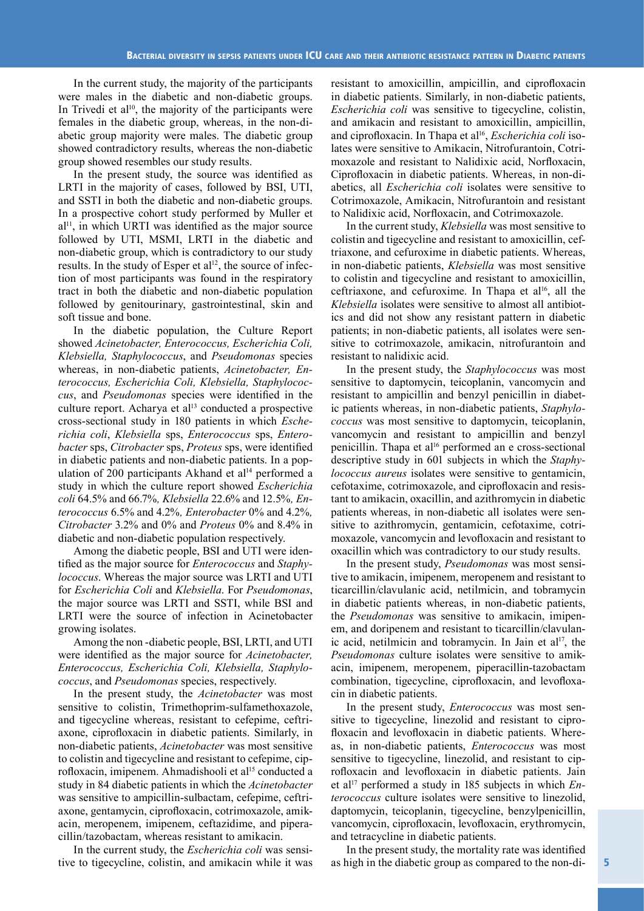In the current study, the majority of the participants were males in the diabetic and non-diabetic groups. In Trivedi et al<sup>10</sup>, the majority of the participants were females in the diabetic group, whereas, in the non-diabetic group majority were males. The diabetic group showed contradictory results, whereas the non-diabetic group showed resembles our study results.

In the present study, the source was identified as LRTI in the majority of cases, followed by BSI, UTI, and SSTI in both the diabetic and non-diabetic groups. In a prospective cohort study performed by Muller et  $a$ <sup>[1]</sup>, in which URTI was identified as the major source followed by UTI, MSMI, LRTI in the diabetic and non-diabetic group, which is contradictory to our study results. In the study of Esper et al<sup>12</sup>, the source of infection of most participants was found in the respiratory tract in both the diabetic and non-diabetic population followed by genitourinary, gastrointestinal, skin and soft tissue and bone.

In the diabetic population, the Culture Report showed *Acinetobacter, Enterococcus, Escherichia Coli, Klebsiella, Staphylococcus*, and *Pseudomonas* species whereas, in non-diabetic patients, *Acinetobacter, Enterococcus, Escherichia Coli, Klebsiella, Staphylococcus*, and *Pseudomonas* species were identified in the culture report. Acharya et al<sup>13</sup> conducted a prospective cross-sectional study in 180 patients in which *Escherichia coli*, *Klebsiella* sps, *Enterococcus* sps, *Enterobacter* sps, *Citrobacter* sps, *Proteus* sps, were identified in diabetic patients and non-diabetic patients. In a population of 200 participants Akhand et al<sup>14</sup> performed a study in which the culture report showed *Escherichia coli* 64.5% and 66.7%*, Klebsiella* 22.6% and 12.5%*, Enterococcus* 6.5% and 4.2%*, Enterobacter* 0% and 4.2%*, Citrobacter* 3.2% and 0% and *Proteus* 0% and 8.4% in diabetic and non-diabetic population respectively.

Among the diabetic people, BSI and UTI were identified as the major source for *Enterococcus* and *Staphylococcus*. Whereas the major source was LRTI and UTI for *Escherichia Coli* and *Klebsiella*. For *Pseudomonas*, the major source was LRTI and SSTI, while BSI and LRTI were the source of infection in Acinetobacter growing isolates.

Among the non -diabetic people, BSI, LRTI, and UTI were identified as the major source for *Acinetobacter, Enterococcus, Escherichia Coli, Klebsiella, Staphylococcus*, and *Pseudomonas* species, respectively.

In the present study, the *Acinetobacter* was most sensitive to colistin, Trimethoprim-sulfamethoxazole, and tigecycline whereas, resistant to cefepime, ceftriaxone, ciprofloxacin in diabetic patients. Similarly, in non-diabetic patients, *Acinetobacter* was most sensitive to colistin and tigecycline and resistant to cefepime, ciprofloxacin, imipenem. Ahmadishooli et al<sup>15</sup> conducted a study in 84 diabetic patients in which the *Acinetobacter* was sensitive to ampicillin-sulbactam, cefepime, ceftriaxone, gentamycin, ciprofloxacin, cotrimoxazole, amikacin, meropenem, imipenem, ceftazidime, and piperacillin/tazobactam, whereas resistant to amikacin.

In the current study, the *Escherichia coli* was sensitive to tigecycline, colistin, and amikacin while it was

resistant to amoxicillin, ampicillin, and ciprofloxacin in diabetic patients. Similarly, in non-diabetic patients, *Escherichia coli* was sensitive to tigecycline, colistin, and amikacin and resistant to amoxicillin, ampicillin, and ciprofloxacin. In Thapa et al<sup>16</sup>, *Escherichia coli* isolates were sensitive to Amikacin, Nitrofurantoin, Cotrimoxazole and resistant to Nalidixic acid, Norfloxacin, Ciprofloxacin in diabetic patients. Whereas, in non-diabetics, all *Escherichia coli* isolates were sensitive to Cotrimoxazole, Amikacin, Nitrofurantoin and resistant to Nalidixic acid, Norfloxacin, and Cotrimoxazole.

In the current study, *Klebsiella* was most sensitive to colistin and tigecycline and resistant to amoxicillin, ceftriaxone, and cefuroxime in diabetic patients. Whereas, in non-diabetic patients, *Klebsiella* was most sensitive to colistin and tigecycline and resistant to amoxicillin, ceftriaxone, and cefuroxime. In Thapa et al<sup>16</sup>, all the *Klebsiella* isolates were sensitive to almost all antibiotics and did not show any resistant pattern in diabetic patients; in non-diabetic patients, all isolates were sensitive to cotrimoxazole, amikacin, nitrofurantoin and resistant to nalidixic acid.

In the present study, the *Staphylococcus* was most sensitive to daptomycin, teicoplanin, vancomycin and resistant to ampicillin and benzyl penicillin in diabetic patients whereas, in non-diabetic patients, *Staphylococcus* was most sensitive to daptomycin, teicoplanin, vancomycin and resistant to ampicillin and benzyl penicillin. Thapa et al<sup>16</sup> performed an e cross-sectional descriptive study in 601 subjects in which the *Staphylococcus aureus* isolates were sensitive to gentamicin, cefotaxime, cotrimoxazole, and ciprofloxacin and resistant to amikacin, oxacillin, and azithromycin in diabetic patients whereas, in non-diabetic all isolates were sensitive to azithromycin, gentamicin, cefotaxime, cotrimoxazole, vancomycin and levofloxacin and resistant to oxacillin which was contradictory to our study results.

In the present study, *Pseudomonas* was most sensitive to amikacin, imipenem, meropenem and resistant to ticarcillin/clavulanic acid, netilmicin, and tobramycin in diabetic patients whereas, in non-diabetic patients, the *Pseudomonas* was sensitive to amikacin, imipenem, and doripenem and resistant to ticarcillin/clavulanic acid, netilmicin and tobramycin. In Jain et al<sup>17</sup>, the *Pseudomonas* culture isolates were sensitive to amikacin, imipenem, meropenem, piperacillin-tazobactam combination, tigecycline, ciprofloxacin, and levofloxacin in diabetic patients.

In the present study, *Enterococcus* was most sensitive to tigecycline, linezolid and resistant to ciprofloxacin and levofloxacin in diabetic patients. Whereas, in non-diabetic patients, *Enterococcus* was most sensitive to tigecycline, linezolid, and resistant to ciprofloxacin and levofloxacin in diabetic patients. Jain et al<sup>17</sup> performed a study in 185 subjects in which *Enterococcus* culture isolates were sensitive to linezolid, daptomycin, teicoplanin, tigecycline, benzylpenicillin, vancomycin, ciprofloxacin, levofloxacin, erythromycin, and tetracycline in diabetic patients.

In the present study, the mortality rate was identified as high in the diabetic group as compared to the non-di-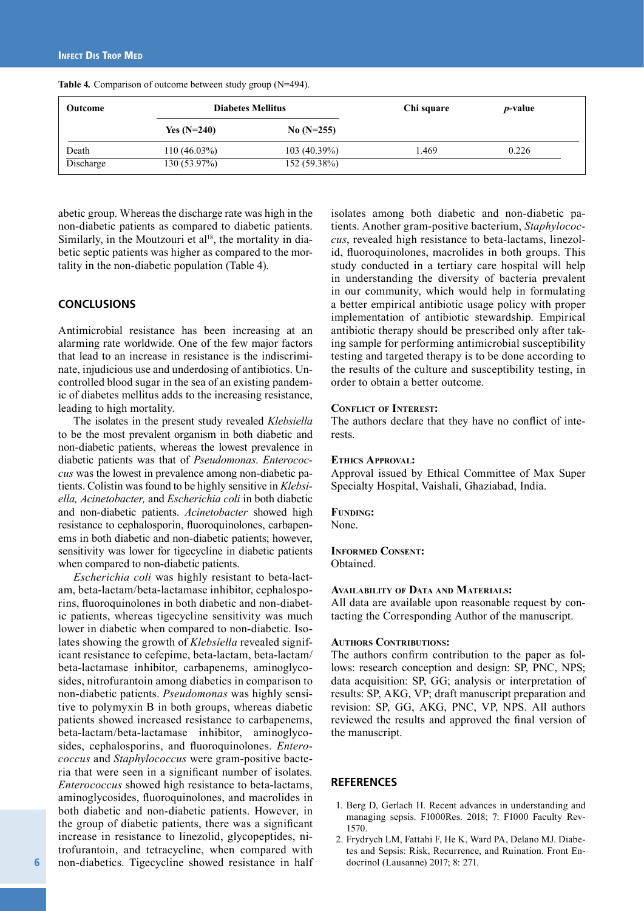| <b>Outcome</b> |                | <b>Diabetes Mellitus</b> |       | <i>p</i> -value |  |
|----------------|----------------|--------------------------|-------|-----------------|--|
|                | Yes $(N=240)$  | $No (N=255)$             |       |                 |  |
| Death          | $110(46.03\%)$ | $103(40.39\%)$           | 1.469 | 0.226           |  |
| Discharge      | 130(53.97%)    | 152 (59.38%)             |       |                 |  |

**Table 4***.* Comparison of outcome between study group (N=494).

abetic group. Whereas the discharge rate was high in the non-diabetic patients as compared to diabetic patients. Similarly, in the Moutzouri et al<sup>18</sup>, the mortality in diabetic septic patients was higher as compared to the mortality in the non-diabetic population (Table 4).

## **CONCLUSIONS**

Antimicrobial resistance has been increasing at an alarming rate worldwide. One of the few major factors that lead to an increase in resistance is the indiscriminate, injudicious use and underdosing of antibiotics. Uncontrolled blood sugar in the sea of an existing pandemic of diabetes mellitus adds to the increasing resistance, leading to high mortality.

The isolates in the present study revealed *Klebsiella* to be the most prevalent organism in both diabetic and non-diabetic patients, whereas the lowest prevalence in diabetic patients was that of *Pseudomonas*. *Enterococcus* was the lowest in prevalence among non-diabetic patients. Colistin was found to be highly sensitive in *Klebsiella, Acinetobacter,* and *Escherichia coli* in both diabetic and non-diabetic patients. *Acinetobacter* showed high resistance to cephalosporin, fluoroquinolones, carbapenems in both diabetic and non-diabetic patients; however, sensitivity was lower for tigecycline in diabetic patients when compared to non-diabetic patients.

*Escherichia coli* was highly resistant to beta-lactam, beta-lactam/beta-lactamase inhibitor, cephalosporins, fluoroquinolones in both diabetic and non-diabetic patients, whereas tigecycline sensitivity was much lower in diabetic when compared to non-diabetic. Isolates showing the growth of *Klebsiella* revealed significant resistance to cefepime, beta-lactam, beta-lactam/ beta-lactamase inhibitor, carbapenems, aminoglycosides, nitrofurantoin among diabetics in comparison to non-diabetic patients. *Pseudomonas* was highly sensitive to polymyxin B in both groups, whereas diabetic patients showed increased resistance to carbapenems, beta-lactam/beta-lactamase inhibitor, aminoglycosides, cephalosporins, and fluoroquinolones. *Enterococcus* and *Staphylococcus* were gram-positive bacteria that were seen in a significant number of isolates*. Enterococcus* showed high resistance to beta-lactams, aminoglycosides, fluoroquinolones, and macrolides in both diabetic and non-diabetic patients. However, in the group of diabetic patients, there was a significant increase in resistance to linezolid, glycopeptides, nitrofurantoin, and tetracycline, when compared with non-diabetics. Tigecycline showed resistance in half isolates among both diabetic and non-diabetic patients. Another gram-positive bacterium, *Staphylococcus*, revealed high resistance to beta-lactams, linezolid, fluoroquinolones, macrolides in both groups. This study conducted in a tertiary care hospital will help in understanding the diversity of bacteria prevalent in our community, which would help in formulating a better empirical antibiotic usage policy with proper implementation of antibiotic stewardship. Empirical antibiotic therapy should be prescribed only after taking sample for performing antimicrobial susceptibility testing and targeted therapy is to be done according to the results of the culture and susceptibility testing, in order to obtain a better outcome.

#### **Conflict of Interest:**

The authors declare that they have no conflict of interests.

#### **Ethics Approval:**

Approval issued by Ethical Committee of Max Super Specialty Hospital, Vaishali, Ghaziabad, India.

## **Funding:**

None.

**Informed Consent:** Obtained.

#### **Availability of Data and Materials:**

All data are available upon reasonable request by contacting the Corresponding Author of the manuscript.

#### **AUTHORS CONTRIBUTIONS:**

The authors confirm contribution to the paper as follows: research conception and design: SP, PNC, NPS; data acquisition: SP, GG; analysis or interpretation of results: SP, AKG, VP; draft manuscript preparation and revision: SP, GG, AKG, PNC, VP, NPS. All authors reviewed the results and approved the final version of the manuscript.

#### **REFERENCES**

- 1. Berg D, Gerlach H. Recent advances in understanding and managing sepsis. F1000Res. 2018; 7: F1000 Faculty Rev-1570.
- 2. Frydrych LM, Fattahi F, He K, Ward PA, Delano MJ. Diabetes and Sepsis: Risk, Recurrence, and Ruination. Front Endocrinol (Lausanne) 2017; 8: 271.